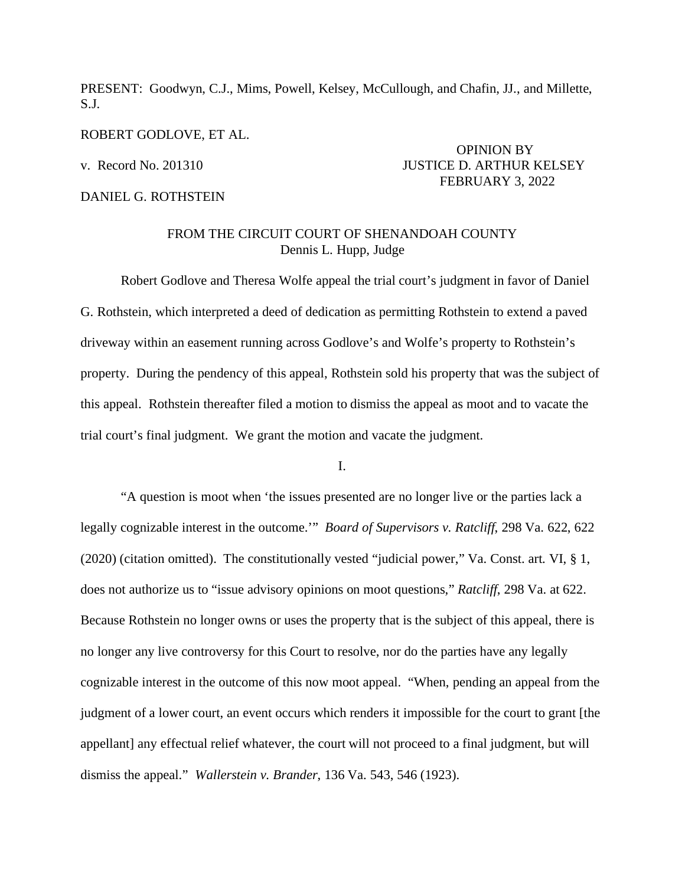PRESENT: Goodwyn, C.J., Mims, Powell, Kelsey, McCullough, and Chafin, JJ., and Millette, S.J.

ROBERT GODLOVE, ET AL.

DANIEL G. ROTHSTEIN

## OPINION BY v. Record No. 201310 JUSTICE D. ARTHUR KELSEY FEBRUARY 3, 2022

## FROM THE CIRCUIT COURT OF SHENANDOAH COUNTY Dennis L. Hupp, Judge

Robert Godlove and Theresa Wolfe appeal the trial court's judgment in favor of Daniel G. Rothstein, which interpreted a deed of dedication as permitting Rothstein to extend a paved driveway within an easement running across Godlove's and Wolfe's property to Rothstein's property. During the pendency of this appeal, Rothstein sold his property that was the subject of this appeal. Rothstein thereafter filed a motion to dismiss the appeal as moot and to vacate the trial court's final judgment. We grant the motion and vacate the judgment.

I.

"A question is moot when 'the issues presented are no longer live or the parties lack a legally cognizable interest in the outcome.'" *Board of Supervisors v. Ratcliff*, 298 Va. 622, 622 (2020) (citation omitted). The constitutionally vested "judicial power," Va. Const. art. VI, § 1, does not authorize us to "issue advisory opinions on moot questions," *Ratcliff*, 298 Va. at 622. Because Rothstein no longer owns or uses the property that is the subject of this appeal, there is no longer any live controversy for this Court to resolve, nor do the parties have any legally cognizable interest in the outcome of this now moot appeal. "When, pending an appeal from the judgment of a lower court, an event occurs which renders it impossible for the court to grant [the appellant] any effectual relief whatever, the court will not proceed to a final judgment, but will dismiss the appeal." *Wallerstein v. Brander*, 136 Va. 543, 546 (1923).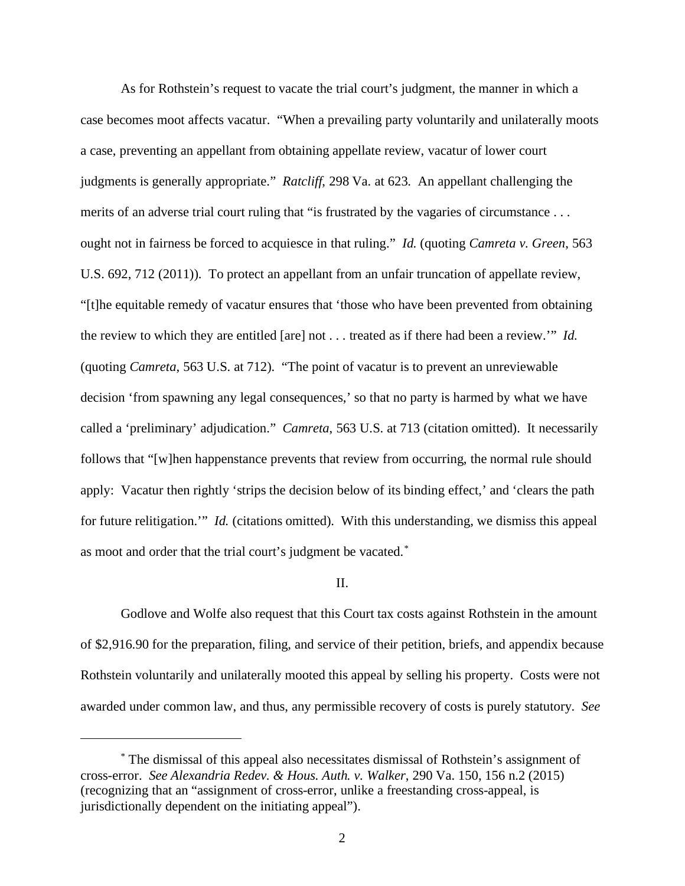As for Rothstein's request to vacate the trial court's judgment, the manner in which a case becomes moot affects vacatur. "When a prevailing party voluntarily and unilaterally moots a case, preventing an appellant from obtaining appellate review, vacatur of lower court judgments is generally appropriate." *Ratcliff*, 298 Va. at 623. An appellant challenging the merits of an adverse trial court ruling that "is frustrated by the vagaries of circumstance . . . ought not in fairness be forced to acquiesce in that ruling." *Id.* (quoting *Camreta v. Green*, 563 U.S. 692, 712 (2011)). To protect an appellant from an unfair truncation of appellate review, "[t]he equitable remedy of vacatur ensures that 'those who have been prevented from obtaining the review to which they are entitled [are] not . . . treated as if there had been a review.'" *Id.* (quoting *Camreta*, 563 U.S. at 712). "The point of vacatur is to prevent an unreviewable decision 'from spawning any legal consequences,' so that no party is harmed by what we have called a 'preliminary' adjudication." *Camreta*, 563 U.S. at 713 (citation omitted). It necessarily follows that "[w]hen happenstance prevents that review from occurring, the normal rule should apply: Vacatur then rightly 'strips the decision below of its binding effect,' and 'clears the path for future relitigation.'" *Id.* (citations omitted). With this understanding, we dismiss this appeal as moot and order that the trial court's judgment be vacated.<sup>[\\*](#page-1-0)</sup>

## II.

Godlove and Wolfe also request that this Court tax costs against Rothstein in the amount of \$2,916.90 for the preparation, filing, and service of their petition, briefs, and appendix because Rothstein voluntarily and unilaterally mooted this appeal by selling his property. Costs were not awarded under common law, and thus, any permissible recovery of costs is purely statutory. *See* 

<span id="page-1-0"></span><sup>\*</sup> The dismissal of this appeal also necessitates dismissal of Rothstein's assignment of cross-error. *See Alexandria Redev. & Hous. Auth. v. Walker*, 290 Va. 150, 156 n.2 (2015) (recognizing that an "assignment of cross-error, unlike a freestanding cross-appeal, is jurisdictionally dependent on the initiating appeal").